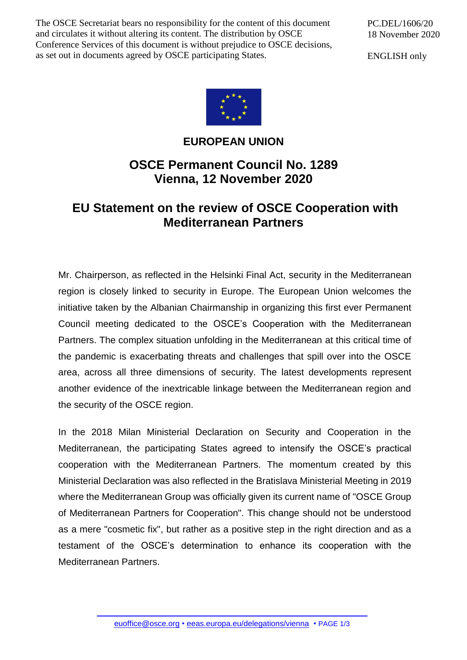The OSCE Secretariat bears no responsibility for the content of this document and circulates it without altering its content. The distribution by OSCE Conference Services of this document is without prejudice to OSCE decisions, as set out in documents agreed by OSCE participating States.

PC.DEL/1606/20 18 November 2020

ENGLISH only



## **EUROPEAN UNION**

## **OSCE Permanent Council No. 1289 Vienna, 12 November 2020**

## **EU Statement on the review of OSCE Cooperation with Mediterranean Partners**

Mr. Chairperson, as reflected in the Helsinki Final Act, security in the Mediterranean region is closely linked to security in Europe. The European Union welcomes the initiative taken by the Albanian Chairmanship in organizing this first ever Permanent Council meeting dedicated to the OSCE's Cooperation with the Mediterranean Partners. The complex situation unfolding in the Mediterranean at this critical time of the pandemic is exacerbating threats and challenges that spill over into the OSCE area, across all three dimensions of security. The latest developments represent another evidence of the inextricable linkage between the Mediterranean region and the security of the OSCE region.

In the 2018 Milan Ministerial Declaration on Security and Cooperation in the Mediterranean, the participating States agreed to intensify the OSCE's practical cooperation with the Mediterranean Partners. The momentum created by this Ministerial Declaration was also reflected in the Bratislava Ministerial Meeting in 2019 where the Mediterranean Group was officially given its current name of "OSCE Group of Mediterranean Partners for Cooperation". This change should not be understood as a mere "cosmetic fix", but rather as a positive step in the right direction and as a testament of the OSCE's determination to enhance its cooperation with the Mediterranean Partners.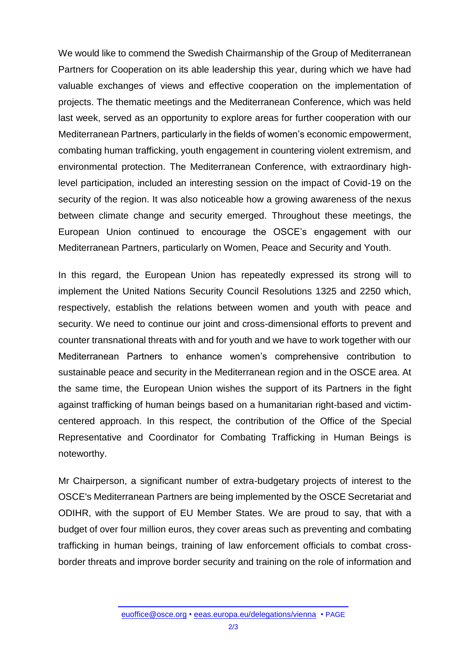We would like to commend the Swedish Chairmanship of the Group of Mediterranean Partners for Cooperation on its able leadership this year, during which we have had valuable exchanges of views and effective cooperation on the implementation of projects. The thematic meetings and the Mediterranean Conference, which was held last week, served as an opportunity to explore areas for further cooperation with our Mediterranean Partners, particularly in the fields of women's economic empowerment, combating human trafficking, youth engagement in countering violent extremism, and environmental protection. The Mediterranean Conference, with extraordinary highlevel participation, included an interesting session on the impact of Covid-19 on the security of the region. It was also noticeable how a growing awareness of the nexus between climate change and security emerged. Throughout these meetings, the European Union continued to encourage the OSCE's engagement with our Mediterranean Partners, particularly on Women, Peace and Security and Youth.

In this regard, the European Union has repeatedly expressed its strong will to implement the United Nations Security Council Resolutions 1325 and 2250 which, respectively, establish the relations between women and youth with peace and security. We need to continue our joint and cross-dimensional efforts to prevent and counter transnational threats with and for youth and we have to work together with our Mediterranean Partners to enhance women's comprehensive contribution to sustainable peace and security in the Mediterranean region and in the OSCE area. At the same time, the European Union wishes the support of its Partners in the fight against trafficking of human beings based on a humanitarian right-based and victimcentered approach. In this respect, the contribution of the Office of the Special Representative and Coordinator for Combating Trafficking in Human Beings is noteworthy.

Mr Chairperson, a significant number of extra-budgetary projects of interest to the OSCE's Mediterranean Partners are being implemented by the OSCE Secretariat and ODIHR, with the support of EU Member States. We are proud to say, that with a budget of over four million euros, they cover areas such as preventing and combating trafficking in human beings, training of law enforcement officials to combat crossborder threats and improve border security and training on the role of information and